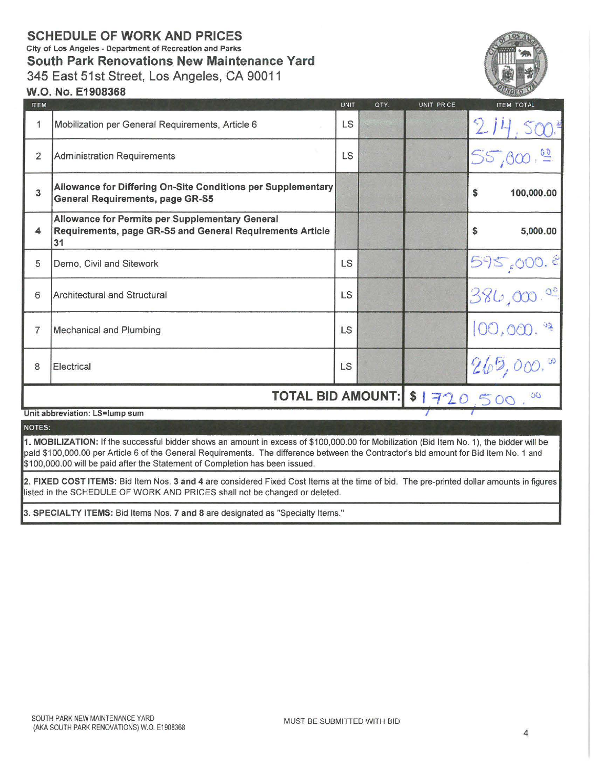# SCHEDULE OF WORK AND PRICES

City of Los Angeles - Department of Recreation and Parks South Park Renovations New Maintenance Yard

345 East 51st Street, Los Angeles, CA 90011

# W.O. No. E1908368

| <b>ITEM</b>    |                                                                                                                           | <b>UNIT</b> | QTY. | UNIT PRICE | <b>ITEM TOTAL</b> |
|----------------|---------------------------------------------------------------------------------------------------------------------------|-------------|------|------------|-------------------|
| 1              | Mobilization per General Requirements, Article 6                                                                          | LS          |      |            | 214               |
| $\overline{2}$ | Administration Requirements                                                                                               | <b>LS</b>   |      |            | 55,000            |
| 3              | Allowance for Differing On-Site Conditions per Supplementary<br><b>General Requirements, page GR-S5</b>                   |             |      |            | \$<br>100,000.00  |
| 4              | <b>Allowance for Permits per Supplementary General</b><br>Requirements, page GR-S5 and General Requirements Article<br>31 |             |      |            | 5,000.00<br>\$    |
| 5              | Demo, Civil and Sitework                                                                                                  | <b>LS</b>   |      |            | 595,000.8         |
| 6              | <b>Architectural and Structural</b>                                                                                       | LS          |      |            | 386,000.00        |
| $\overline{7}$ | <b>Mechanical and Plumbing</b>                                                                                            | LS          |      |            | 00,000. 52        |
| 8              | Electrical                                                                                                                | <b>LS</b>   |      |            | 265,000.          |
|                | TOTAL BID AMOUNT: \$1720,500.                                                                                             |             |      |            |                   |
|                | Unit abbreviation: LS=lump sum                                                                                            |             |      |            |                   |

### NOTES:

1. MOBILIZATION: If the successful bidder shows an amount in excess of \$100,000.00 for Mobilization (Bid Item No. 1), the bidder will be paid \$100,000.00 per Article 6 of the General Requirements. The difference between the Contractor's bid amount for Bid Item No. 1 and \$100,000.00 will be paid after the Statement of Completion has been issued.

2. FIXED COST ITEMS: Bid Item Nos. 3 and 4 are considered Fixed Cost Items at the time of bid. The pre-printed dollar amounts in figures listed in the SCHEDULE OF WORK AND PRICES shall not be changed or deleted.

3. SPECIALTY ITEMS: Bid Items Nos. 7 and 8 are designated as "Specialty Items."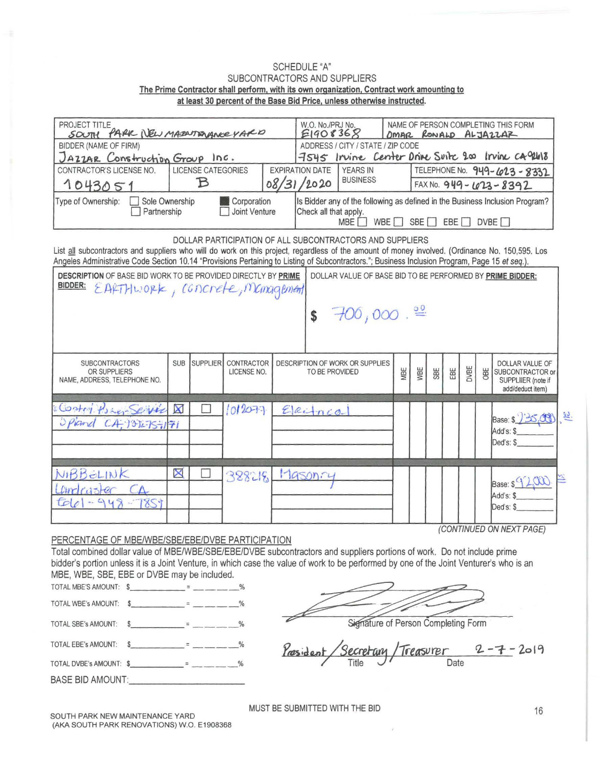## **SCHEDULE "A"** SUBCONTRACTORS AND SUPPLIERS The Prime Contractor shall perform, with its own organization, Contract work amounting to at least 30 percent of the Base Bid Price, unless otherwise instructed.

| PROJECT TITLE<br>SOUTH PARK NEW MAZARANCE VARD<br>BIDDER (NAME OF FIRM)                                                                                                                                                                                                                                                                                       | NAME OF PERSON COMPLETING THIS FORM<br>W.O. No./PRJ No.<br>E1908368<br>DMAR RONALD ALJAZZAR<br>ADDRESS / CITY / STATE / ZIP CODE<br>7545 Irvine Center Drive Suite 200 Irvine ca 94618 |          |                              |  |                                                                                                                                                                     |                                    |  |     |                                                        |     |     |      |                                          |                                                                                      |  |
|---------------------------------------------------------------------------------------------------------------------------------------------------------------------------------------------------------------------------------------------------------------------------------------------------------------------------------------------------------------|----------------------------------------------------------------------------------------------------------------------------------------------------------------------------------------|----------|------------------------------|--|---------------------------------------------------------------------------------------------------------------------------------------------------------------------|------------------------------------|--|-----|--------------------------------------------------------|-----|-----|------|------------------------------------------|--------------------------------------------------------------------------------------|--|
| CONTRACTOR'S LICENSE NO.<br>1043051                                                                                                                                                                                                                                                                                                                           | JAZZAR Construction Group Inc.<br><b>LICENSE CATEGORIES</b><br><b>EXPIRATION DATE</b><br>B<br>08/31/2020                                                                               |          |                              |  |                                                                                                                                                                     | <b>YEARS IN</b><br><b>BUSINESS</b> |  |     | TELEPHONE No. 949-623-8332<br>FAX No. 949 - 623 - 8392 |     |     |      |                                          |                                                                                      |  |
| Type of Ownership:<br>Sole Ownership<br>Partnership                                                                                                                                                                                                                                                                                                           |                                                                                                                                                                                        |          | Corporation<br>Joint Venture |  | Is Bidder any of the following as defined in the Business Inclusion Program?<br>Check all that apply.<br>WBE $\Box$ SBE $\Box$ EBE $\Box$ DVBE $\Box$<br><b>MBE</b> |                                    |  |     |                                                        |     |     |      |                                          |                                                                                      |  |
| DOLLAR PARTICIPATION OF ALL SUBCONTRACTORS AND SUPPLIERS<br>List all subcontractors and suppliers who will do work on this project, regardless of the amount of money involved. (Ordinance No. 150,595. Los<br>Angeles Administrative Code Section 10.14 "Provisions Pertaining to Listing of Subcontractors."; Business Inclusion Program, Page 15 et seq.). |                                                                                                                                                                                        |          |                              |  |                                                                                                                                                                     |                                    |  |     |                                                        |     |     |      |                                          |                                                                                      |  |
| DESCRIPTION OF BASE BID WORK TO BE PROVIDED DIRECTLY BY PRIME<br>DOLLAR VALUE OF BASE BID TO BE PERFORMED BY PRIME BIDDER:<br>BIDDER:<br>EARTHWORK, CONCrete, Management                                                                                                                                                                                      |                                                                                                                                                                                        |          |                              |  |                                                                                                                                                                     |                                    |  |     |                                                        |     |     |      |                                          |                                                                                      |  |
| 700,000.<br>\$                                                                                                                                                                                                                                                                                                                                                |                                                                                                                                                                                        |          |                              |  |                                                                                                                                                                     |                                    |  |     |                                                        |     |     |      |                                          |                                                                                      |  |
| <b>SUBCONTRACTORS</b><br>OR SUPPLIERS<br>NAME, ADDRESS, TELEPHONE NO.                                                                                                                                                                                                                                                                                         | <b>SUB</b>                                                                                                                                                                             | SUPPLIER | CONTRACTOR<br>LICENSE NO.    |  | DESCRIPTION OF WORK OR SUPPLIES<br>TO BE PROVIDED                                                                                                                   |                                    |  | MBE | WBE                                                    | SBE | EBE | DVBE | OBE                                      | <b>DOLLAR VALUE OF</b><br>SUBCONTRACTOR or<br>SUPPLIIER (note if<br>add/deduct item) |  |
| Contri Poser Service X<br>Opland CA, 1312757771                                                                                                                                                                                                                                                                                                               |                                                                                                                                                                                        |          | 1012073                      |  | Electrico                                                                                                                                                           |                                    |  |     |                                                        |     |     |      | Base: \$ 25,00<br>Add's: \$<br>Ded's: \$ | $\overline{\mathcal{P}}$                                                             |  |
| NIBBELINK<br>Landcuster<br>$-948$<br>tolel<br>854                                                                                                                                                                                                                                                                                                             | ×                                                                                                                                                                                      |          | 388218                       |  | 17950nry                                                                                                                                                            |                                    |  |     |                                                        |     |     |      |                                          | Base: $\frac{9200}{100}$<br>Add's: \$<br>Ded's: \$<br>(CONTINUED ON NEXT PAGE)       |  |

# PERCENTAGE OF MBE/WBE/SBE/EBE/DVBE PARTICIPATION

Total combined dollar value of MBE/WBE/SBE/EBE/DVBE subcontractors and suppliers portions of work. Do not include prime bidder's portion unless it is a Joint Venture, in which case the value of work to be performed by one of the Joint Venturer's who is an MBE, WBE, SBE, EBE or DVBE may be included.

| TOTAL MBE'S AMOUNT: \$ |  |  |
|------------------------|--|--|
| TOTAL WBE's AMOUNT:    |  |  |

TOTAL WBE's AMOUNT: \$ TOTAL SBE's AMOUNT: \$ <u> 1990 - Alexandria A</u>

 $=$   $\frac{\%}{\%}$ TOTAL EBE's AMOUNT: \$

**BASE BID AMOUNT:** 

Signature of Person Completing Form

 $-2019$ Date